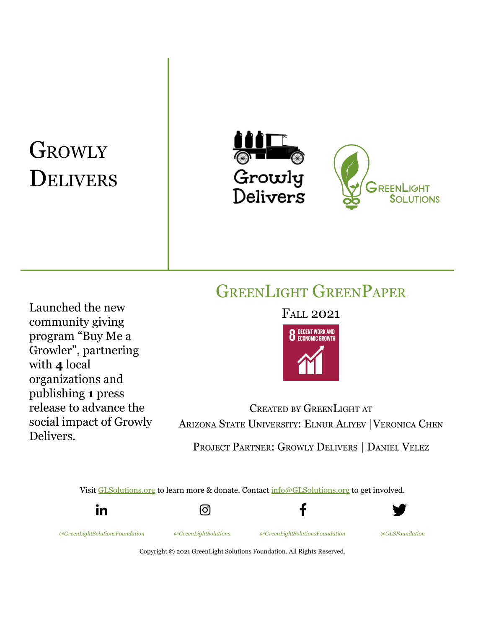# **GROWLY** DELIVERS





GREENLIGHT GREENPAPER

Launched the new community giving program "Buy Me a Growler", partnering with **4** local organizations and publishing **1** press release to advance the social impact of Growly Delivers.

# FALL 2021



CREATED BY GREENLIGHT AT ARIZONA STATE UNIVERSITY: ELNUR ALIYEV |VERONICA CHEN PROJECT PARTNER: GROWLY DELIVERS | DANIEL VELEZ

Visit [GLSolutions.org](https://www.glsolutions.org/) to learn more & donate. Contact [info@GLSolutions.org](mailto:info@GLSolutions.org) to get involved.



Copyright © 2021 GreenLight Solutions Foundation. All Rights Reserved.